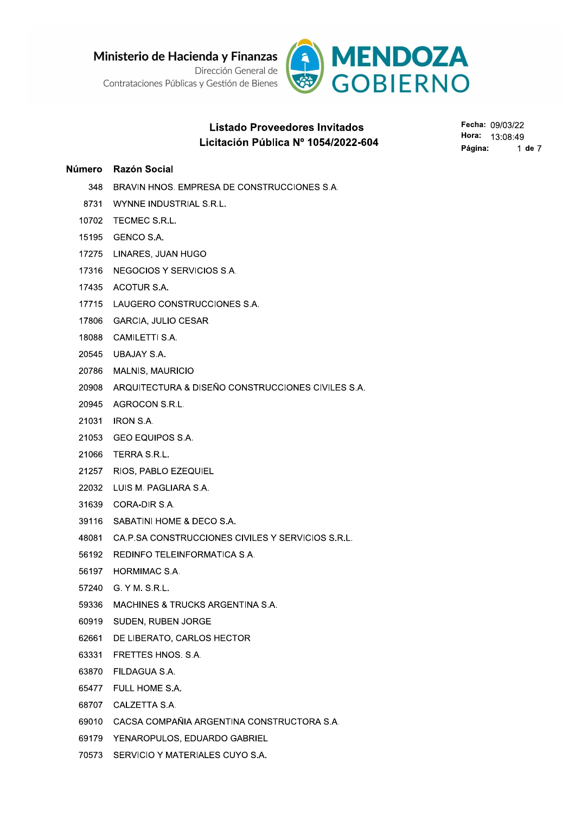Ministerio de Hacienda y Finanzas<br>
Contrataciones Públicas y Gestión de Bienes<br>
Listado Proveedores Invitados<br>
Listado Proveedores Invitados<br>
Listado Proveedores Invitados<br>
Listado Proveedores Invitados<br>
Listado Proveedore



# Listado Proveedores Invitados !"!# \$% &

- 
- 
- 
- 
- 
- 
- 
- 
- 
- 
- 20545 UBAJAY S.A.
- 20786 MALNIS, MAURICIO
- 20908 ARQUITECTURA & DISEÑO CONSTRUCCIONES CIVILES S.A.
- 20945 AGROCON S.R.L.
- 21031 IRON S.A.
- 21053 GEO EQUIPOS S.A.
- 21066 TERRA S.R.L.
- 21257 RIOS, PABLO EZEQUIEL
- 22032 LUIS M. PAGLIARA S.A.
- 31639 CORA-DIR S.A.
- 39116 SABATINI HOME & DECO S.A.
- 48081 CA.P.SA CONSTRUCCIONES CIVILES Y SERVICIOS S.R.L.
- 56192 REDINFO TELEINFORMATICA S.A.
- 56197 HORMIMAC S.A.
- 57240 G.YM. S.R.L.
- 59336 MACHINES & TRUCKS ARGENTINA S.A.
- 60919 SUDEN, RUBEN JORGE
- 62661 DE LIBERATO, CARLOS HECTOR
- 63331 FRETTES HNOS, S.A.
- 63870 FILDAGUA S.A.
- 65477 FULL HOME S.A.
- 68707 CALZETTA S.A.
- 69010 CACSA COMPAÑIA ARGENTINA CONSTRUCTORA S.A.
- 69179 YENAROPULOS, EDUARDO GABRIEL
- 70573 SERVICIO Y MATERIALES CUYO S.A.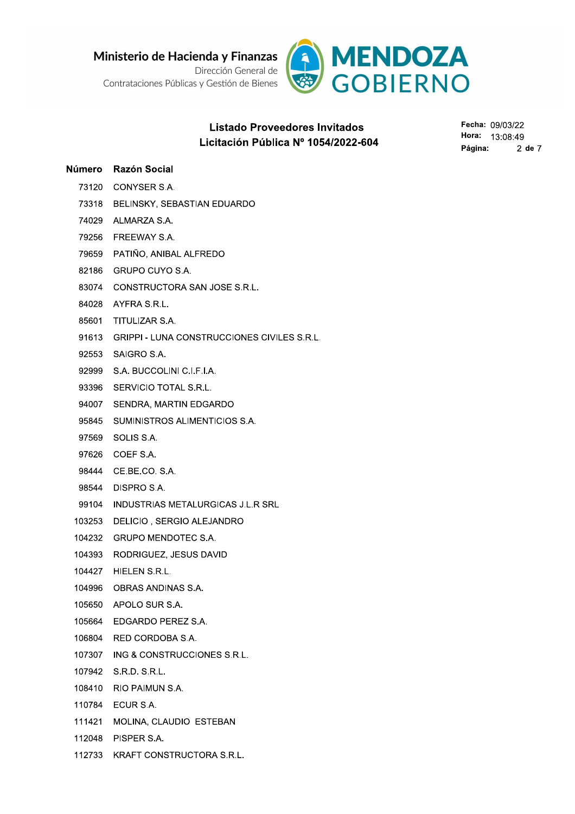Ministerio de Hacienda y Finanzas

Dirección General de Contrataciones Públicas y Gestión de Bienes



# **Listado Proveedores Invitados** Licitación Pública Nº 1054/2022-604

Fecha: 09/03/22 Hora: 13:08:49 Página: 2 de 7

# Número Razón Social 73120 CONYSER S.A.

- 73318 BELINSKY, SEBASTIAN EDUARDO
- 74029 ALMARZA S.A.
- 79256 FREEWAY S.A.
- 79659 PATIÑO, ANIBAL ALFREDO
- 82186 GRUPO CUYO S.A.
- 83074 CONSTRUCTORA SAN JOSE S.R.L.
- 84028 AYFRA S.R.L.
- 85601 TITULIZAR S.A.
- 91613 GRIPPI LUNA CONSTRUCCIONES CIVILES S.R.L.
- 92553 SAIGRO S.A.
- 92999 S.A. BUCCOLINI C.I.F.I.A.
- 93396 SERVICIO TOTAL S.R.L.
- 94007 SENDRA, MARTIN EDGARDO
- 95845 SUMINISTROS ALIMENTICIOS S.A.
- 97569 SOLIS S.A.
- 97626 COEF S.A.
- 98444 CE.BE.CO. S.A.
- 98544 DISPRO S.A.
- 99104 INDUSTRIAS METALURGICAS J.L.R SRL
- 103253 DELICIO, SERGIO ALEJANDRO
- 104232 GRUPO MENDOTEC S.A.
- 104393 RODRIGUEZ, JESUS DAVID
- 104427 HIELEN S.R.L.
- 104996 OBRAS ANDINAS S.A.
- 105650 APOLO SUR S.A.
- 105664 EDGARDO PEREZ S.A.
- 106804 RED CORDOBA S.A.
- 107307 ING & CONSTRUCCIONES S.R.L.
- 107942 S.R.D. S.R.L.
- 108410 RIO PAIMUN S.A.
- 110784 ECUR S.A.
- 111421 MOLINA, CLAUDIO ESTEBAN
- 112048 PISPER S.A.
- 112733 KRAFT CONSTRUCTORA S.R.L.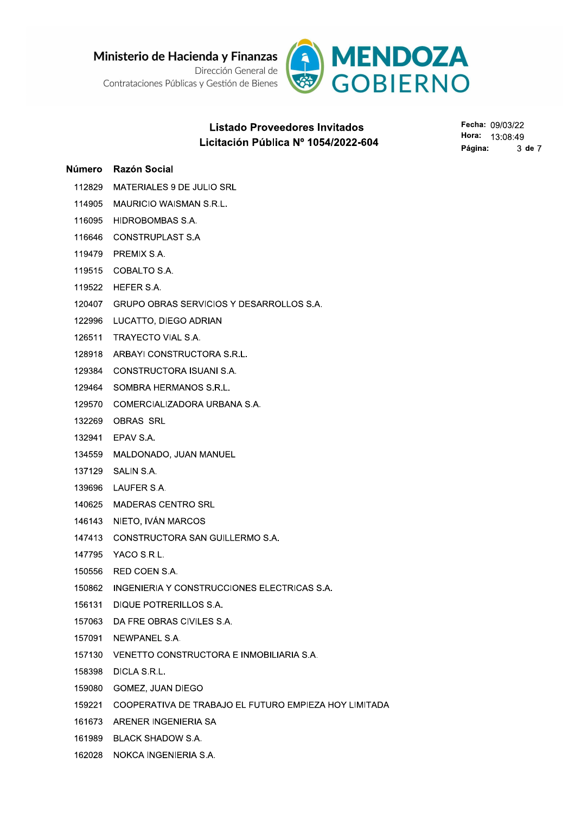

# Listado Proveedores Invitados !"!# \$% &

- 
- 
- 
- 
- 
- 
- 
- 
- 
- 
- 
- 
- 
- 
- 
- 
- 
- 
- 
- 
- 
- 
- 
- 
- 
- 
- 
- 
- 
- 
- 
- 
- 
- 
-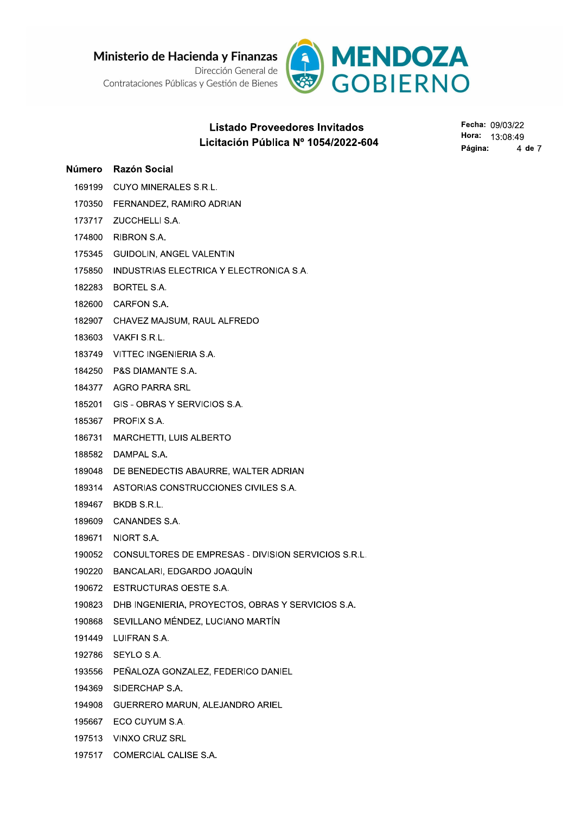Ministerio de Hacienda y Finanzas

Dirección General de Contrataciones Públicas y Gestión de Bienes



# **Listado Proveedores Invitados** Licitación Pública Nº 1054/2022-604

Fecha: 09/03/22 Hora: 13:08:49 Página: 4 de 7

### Número Razón Social

- 169199 CUYO MINERALES S.R.L.
- 170350 FERNANDEZ, RAMIRO ADRIAN
- 173717 ZUCCHELLI S.A.
- 174800 RIBRON S.A.
- 175345 GUIDOLIN, ANGEL VALENTIN
- 175850 INDUSTRIAS ELECTRICA Y ELECTRONICA S.A.
- 182283 BORTEL S.A.
- 182600 CARFON S.A.
- 182907 CHAVEZ MAJSUM, RAUL ALFREDO
- 183603 VAKFI S.R.L.
- 183749 VITTEC INGENIERIA S.A.
- 184250 P&S DIAMANTE S.A.
- 184377 AGRO PARRA SRL
- 185201 GIS OBRAS Y SERVICIOS S.A.
- 185367 PROFIX S.A.
- 186731 MARCHETTI, LUIS ALBERTO
- 188582 DAMPAL S.A.
- 189048 DE BENEDECTIS ABAURRE, WALTER ADRIAN
- 189314 ASTORIAS CONSTRUCCIONES CIVILES S.A.
- 189467 BKDB S.R.L.
- 189609 CANANDES S.A.
- 189671 NIORT S.A.
- 190052 CONSULTORES DE EMPRESAS DIVISION SERVICIOS S.R.L.
- 190220 BANCALARI, EDGARDO JOAQUÍN
- 190672 ESTRUCTURAS OESTE S.A.
- 190823 DHB INGENIERIA, PROYECTOS, OBRAS Y SERVICIOS S.A.
- 190868 SEVILLANO MÉNDEZ, LUCIANO MARTÍN
- 191449 LUIFRAN S.A.
- 192786 SEYLO S.A.
- 193556 PEÑALOZA GONZALEZ, FEDERICO DANIEL
- 194369 SIDERCHAP S.A.
- 194908 GUERRERO MARUN, ALEJANDRO ARIEL
- 195667 ECO CUYUM S.A.
- 197513 VINXO CRUZ SRL
- 197517 COMERCIAL CALISE S.A.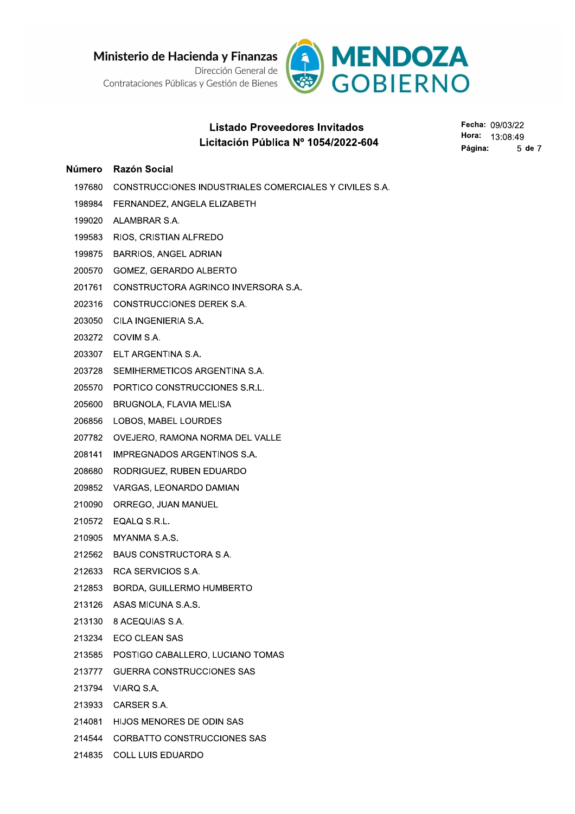Ministerio de Hacienda y Finanzas



# Listado Proveedores Invitados Listado Proveedores Invitados<br>
Listado Proveedores Invitados<br>
197680 CONSTRUCCIONES INDUSTRIALES COMERCIALES Y CIVILES S.A.<br>
198964 FERNANDEZ, ANGELA ELIZABETH<br>
198964 FERNANDEZ, ANGELA ELIZABETH<br>
1980720 ALAMBRAR S.A.<br>
19

- 
- 
- 
- 
- 
- 
- 
- 
- 
- 
- 
- 
- 
- 
- 
- 
- 
- 
- 
- 
- 
- 
- 
- 
- 
- 
- 213130 8 ACEQUIAS S.A.
- 213234 ECO CLEAN SAS
- 212635 BORDA, GUILLERMO HUMBERTO<br>
213126 ASAS MICUNA S.A.S.<br>
213130 8 ACEQUIAS S.A.<br>
213234 ECO CLEAN SAS<br>
213585 POSTIGO CABALLERO, LUCIANO TOMAS<br>
213777 GUERRA CONSTRUCCIONES SAS<br>
213794 VIARQ S.A.<br>
214081 HIJOS MENORES
	-
	-
	-
	-
	-
	-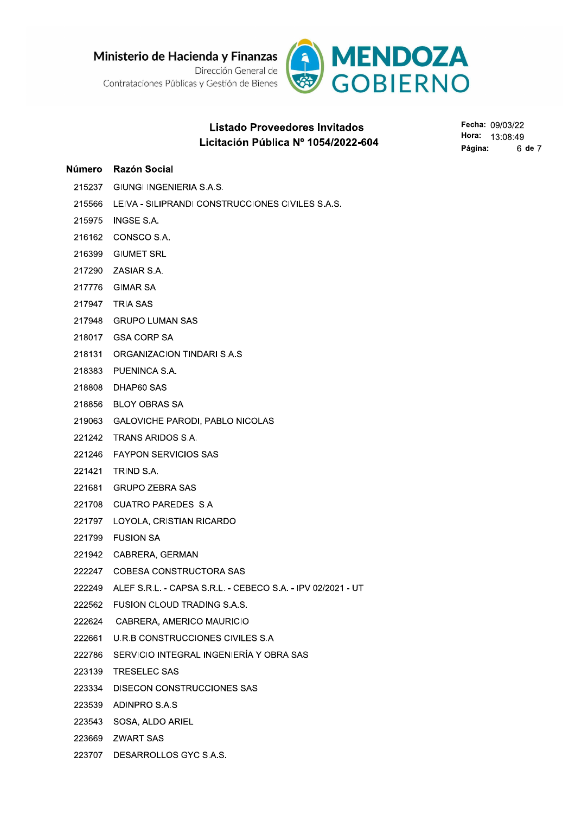Ministerio de Hacienda y Finanzas Dirección General de

Contrataciones Públicas y Gestión de Bienes



# **Listado Proveedores Invitados** Licitación Pública Nº 1054/2022-604

Fecha: 09/03/22 Hora: 13:08:49 Página: 6 de 7

### Número Razón Social

- 215237 GIUNGI INGENIERIA S.A.S.
- 215566 LEIVA SILIPRANDI CONSTRUCCIONES CIVILES S.A.S.
- 215975 INGSE S.A.
- 216162 CONSCO S.A.
- 216399 GIUMET SRL
- 217290 ZASIAR S.A.
- 217776 GIMAR SA
- 217947 TRIA SAS
- 217948 GRUPO LUMAN SAS
- 218017 GSA CORP SA
- 218131 ORGANIZACION TINDARI S.A.S
- 218383 PUENINCA S.A.
- 218808 DHAP60 SAS
- 218856 BLOY OBRAS SA
- 219063 GALOVICHE PARODI. PABLO NICOLAS
- 221242 TRANS ARIDOS S.A.
- 221246 FAYPON SERVICIOS SAS
- 221421 TRIND S.A.
- 221681 GRUPO ZEBRA SAS
- 221708 CUATRO PAREDES S.A
- 221797 LOYOLA, CRISTIAN RICARDO
- 221799 FUSION SA
- 221942 CABRERA, GERMAN
- 222247 COBESA CONSTRUCTORA SAS
- 222249 ALEF S.R.L. CAPSA S.R.L. CEBECO S.A. IPV 02/2021 UT
- 222562 FUSION CLOUD TRADING S.A.S.
- 222624 CABRERA, AMERICO MAURICIO
- 222661 U.R.B CONSTRUCCIONES CIVILES S.A
- 222786 SERVICIO INTEGRAL INGENIERÍA Y OBRA SAS
- 223139 TRESELEC SAS
- 223334 DISECON CONSTRUCCIONES SAS
- 223539 ADINPRO S.A.S
- 223543 SOSA, ALDO ARIEL
- 223669 ZWART SAS
- 223707 DESARROLLOS GYC S.A.S.